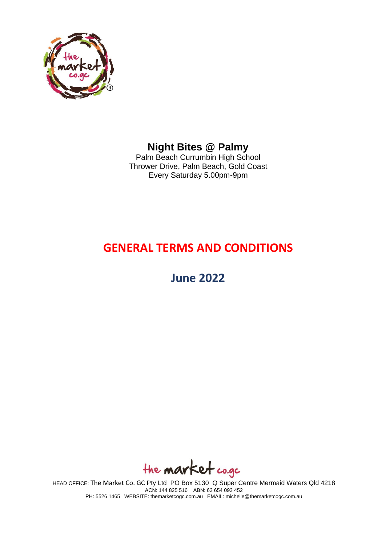

# **Night Bites @ Palmy**

Palm Beach Currumbin High School Thrower Drive, Palm Beach, Gold Coast Every Saturday 5.00pm-9pm

# **GENERAL TERMS AND CONDITIONS**

**June 2022**

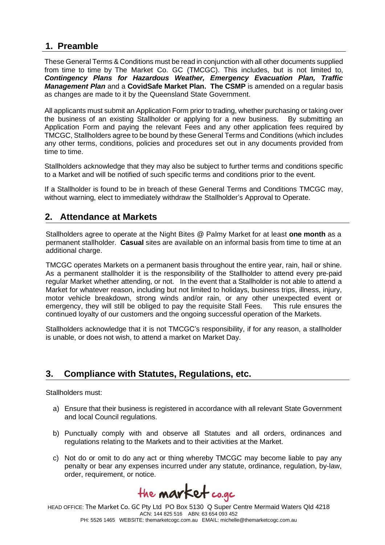# **1. Preamble**

These General Terms & Conditions must be read in conjunction with all other documents supplied from time to time by The Market Co. GC (TMCGC). This includes, but is not limited to, *Contingency Plans for Hazardous Weather, Emergency Evacuation Plan, Traffic Management Plan* and a **CovidSafe Market Plan. The CSMP** is amended on a regular basis as changes are made to it by the Queensland State Government.

All applicants must submit an Application Form prior to trading, whether purchasing or taking over the business of an existing Stallholder or applying for a new business. By submitting an the business of an existing Stallholder or applying for a new business. Application Form and paying the relevant Fees and any other application fees required by TMCGC, Stallholders agree to be bound by these General Terms and Conditions (which includes any other terms, conditions, policies and procedures set out in any documents provided from time to time.

Stallholders acknowledge that they may also be subject to further terms and conditions specific to a Market and will be notified of such specific terms and conditions prior to the event.

If a Stallholder is found to be in breach of these General Terms and Conditions TMCGC may, without warning, elect to immediately withdraw the Stallholder's Approval to Operate.

# **2. Attendance at Markets**

Stallholders agree to operate at the Night Bites @ Palmy Market for at least **one month** as a permanent stallholder. **Casual** sites are available on an informal basis from time to time at an additional charge.

TMCGC operates Markets on a permanent basis throughout the entire year, rain, hail or shine. As a permanent stallholder it is the responsibility of the Stallholder to attend every pre-paid regular Market whether attending, or not. In the event that a Stallholder is not able to attend a Market for whatever reason, including but not limited to holidays, business trips, illness, injury, motor vehicle breakdown, strong winds and/or rain, or any other unexpected event or emeraency, they will still be obliged to pay the requisite Stall Fees. This rule ensures the emergency, they will still be obliged to pay the requisite Stall Fees. continued loyalty of our customers and the ongoing successful operation of the Markets.

Stallholders acknowledge that it is not TMCGC's responsibility, if for any reason, a stallholder is unable, or does not wish, to attend a market on Market Day.

# **3. Compliance with Statutes, Regulations, etc.**

Stallholders must:

- a) Ensure that their business is registered in accordance with all relevant State Government and local Council regulations.
- b) Punctually comply with and observe all Statutes and all orders, ordinances and regulations relating to the Markets and to their activities at the Market.
- c) Not do or omit to do any act or thing whereby TMCGC may become liable to pay any penalty or bear any expenses incurred under any statute, ordinance, regulation, by-law, order, requirement, or notice.

the **market** co.gc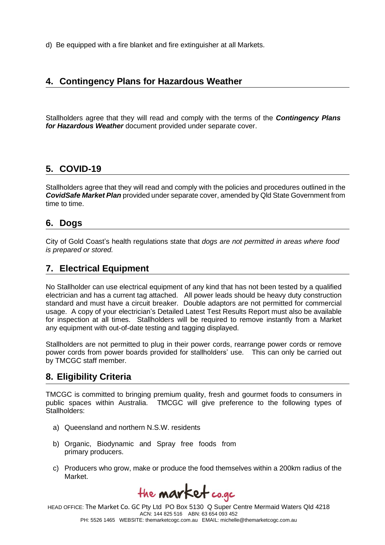d) Be equipped with a fire blanket and fire extinguisher at all Markets.

### **4. Contingency Plans for Hazardous Weather**

Stallholders agree that they will read and comply with the terms of the *Contingency Plans for Hazardous Weather* document provided under separate cover.

#### **5. COVID-19**

Stallholders agree that they will read and comply with the policies and procedures outlined in the *CovidSafe Market Plan* provided under separate cover, amended by Qld State Government from time to time.

#### **6. Dogs**

City of Gold Coast's health regulations state that *dogs are not permitted in areas where food is prepared or stored.*

#### **7. Electrical Equipment**

No Stallholder can use electrical equipment of any kind that has not been tested by a qualified electrician and has a current tag attached. All power leads should be heavy duty construction standard and must have a circuit breaker. Double adaptors are not permitted for commercial usage. A copy of your electrician's Detailed Latest Test Results Report must also be available for inspection at all times. Stallholders will be required to remove instantly from a Market any equipment with out-of-date testing and tagging displayed.

Stallholders are not permitted to plug in their power cords, rearrange power cords or remove power cords from power boards provided for stallholders' use. This can only be carried out by TMCGC staff member.

#### **8. Eligibility Criteria**

TMCGC is committed to bringing premium quality, fresh and gourmet foods to consumers in public spaces within Australia. TMCGC will give preference to the following types of Stallholders:

- a) Queensland and northern N.S.W. residents
- b) Organic, Biodynamic and Spray free foods from primary producers.
- c) Producers who grow, make or produce the food themselves within a 200km radius of the Market.

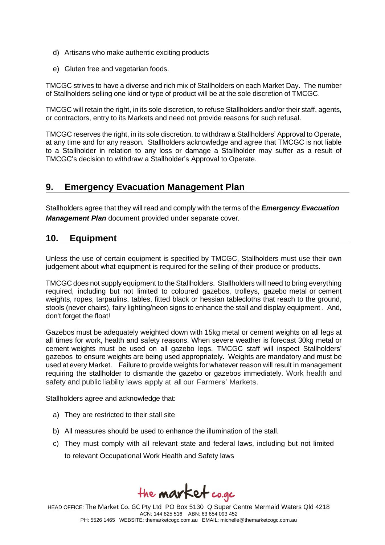- d) Artisans who make authentic exciting products
- e) Gluten free and vegetarian foods.

TMCGC strives to have a diverse and rich mix of Stallholders on each Market Day. The number of Stallholders selling one kind or type of product will be at the sole discretion of TMCGC.

TMCGC will retain the right, in its sole discretion, to refuse Stallholders and/or their staff, agents, or contractors, entry to its Markets and need not provide reasons for such refusal.

TMCGC reserves the right, in its sole discretion, to withdraw a Stallholders' Approval to Operate, at any time and for any reason. Stallholders acknowledge and agree that TMCGC is not liable to a Stallholder in relation to any loss or damage a Stallholder may suffer as a result of TMCGC's decision to withdraw a Stallholder's Approval to Operate.

# **9. Emergency Evacuation Management Plan**

Stallholders agree that they will read and comply with the terms of the *Emergency Evacuation Management Plan* document provided under separate cover*.*

# **10. Equipment**

Unless the use of certain equipment is specified by TMCGC, Stallholders must use their own judgement about what equipment is required for the selling of their produce or products.

TMCGC does not supply equipment to the Stallholders. Stallholders will need to bring everything required, including but not limited to coloured gazebos, trolleys, gazebo metal or cement weights, ropes, tarpaulins, tables, fitted black or hessian tablecloths that reach to the ground, stools (never chairs), fairy lighting/neon signs to enhance the stall and display equipment . And, don't forget the float!

Gazebos must be adequately weighted down with 15kg metal or cement weights on all legs at all times for work, health and safety reasons. When severe weather is forecast 30kg metal or cement weights must be used on all gazebo legs. TMCGC staff will inspect Stallholders' gazebos to ensure weights are being used appropriately. Weights are mandatory and must be used at every Market. Failure to provide weights for whatever reason will result in management requiring the stallholder to dismantle the gazebo or gazebos immediately. Work health and safety and public liability laws apply at all our Farmers' Markets.

Stallholders agree and acknowledge that:

- a) They are restricted to their stall site
- b) All measures should be used to enhance the illumination of the stall.
- c) They must comply with all relevant state and federal laws, including but not limited to relevant Occupational Work Health and Safety laws

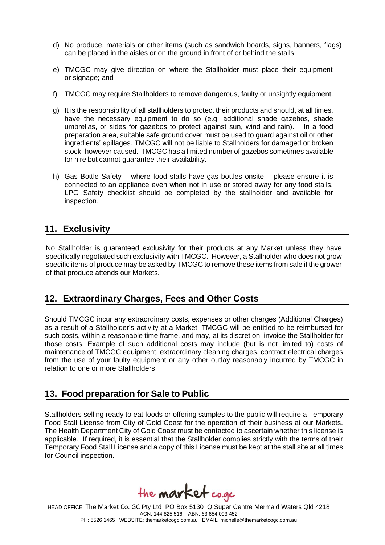- d) No produce, materials or other items (such as sandwich boards, signs, banners, flags) can be placed in the aisles or on the ground in front of or behind the stalls
- e) TMCGC may give direction on where the Stallholder must place their equipment or signage; and
- f) TMCGC may require Stallholders to remove dangerous, faulty or unsightly equipment.
- g) It is the responsibility of all stallholders to protect their products and should, at all times, have the necessary equipment to do so (e.g. additional shade gazebos, shade umbrellas, or sides for gazebos to protect against sun, wind and rain). In a food preparation area, suitable safe ground cover must be used to guard against oil or other ingredients' spillages. TMCGC will not be liable to Stallholders for damaged or broken stock, however caused. TMCGC has a limited number of gazebos sometimes available for hire but cannot guarantee their availability.
- h) Gas Bottle Safety where food stalls have gas bottles onsite please ensure it is connected to an appliance even when not in use or stored away for any food stalls. LPG Safety checklist should be completed by the stallholder and available for inspection.

# **11. Exclusivity**

No Stallholder is guaranteed exclusivity for their products at any Market unless they have specifically negotiated such exclusivity with TMCGC. However, a Stallholder who does not grow specific items of produce may be asked by TMCGC to remove these items from sale if the grower of that produce attends our Markets.

# **12. Extraordinary Charges, Fees and Other Costs**

Should TMCGC incur any extraordinary costs, expenses or other charges (Additional Charges) as a result of a Stallholder's activity at a Market, TMCGC will be entitled to be reimbursed for such costs, within a reasonable time frame, and may, at its discretion, invoice the Stallholder for those costs. Example of such additional costs may include (but is not limited to) costs of maintenance of TMCGC equipment, extraordinary cleaning charges, contract electrical charges from the use of your faulty equipment or any other outlay reasonably incurred by TMCGC in relation to one or more Stallholders

# **13. Food preparation for Sale to Public**

Stallholders selling ready to eat foods or offering samples to the public will require a Temporary Food Stall License from City of Gold Coast for the operation of their business at our Markets. The Health Department City of Gold Coast must be contacted to ascertain whether this license is applicable. If required, it is essential that the Stallholder complies strictly with the terms of their Temporary Food Stall License and a copy of this License must be kept at the stall site at all times for Council inspection.

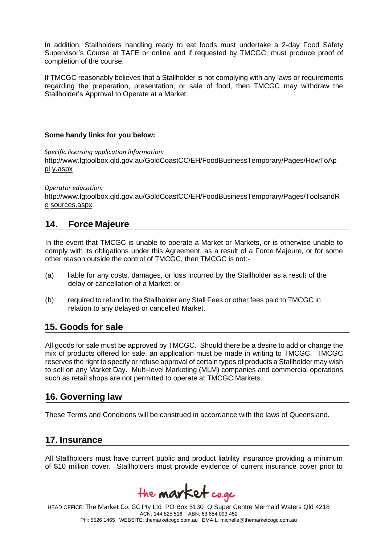In addition, Stallholders handling ready to eat foods must undertake a 2-day Food Safety Supervisor's Course at TAFE or online and if requested by TMCGC, must produce proof of completion of the course.

If TMCGC reasonably believes that a Stallholder is not complying with any laws or requirements regarding the preparation, presentation, or sale of food, then TMCGC may withdraw the Stallholder's Approval to Operate at a Market.

#### **Some handy links for you below:**

*Specific licensing application information:* 

[http://www.lgtoolbox.qld.gov.au/GoldCoastCC/EH/FoodBusinessTemporary/Pages/HowToAp](http://www.lgtoolbox.qld.gov.au/GoldCoastCC/EH/FoodBusinessTemporary/Pages/HowToApply.aspx) [pl](http://www.lgtoolbox.qld.gov.au/GoldCoastCC/EH/FoodBusinessTemporary/Pages/HowToApply.aspx) [y.aspx](http://www.lgtoolbox.qld.gov.au/GoldCoastCC/EH/FoodBusinessTemporary/Pages/HowToApply.aspx)

*Operator education:*  [http://www.lgtoolbox.qld.gov.au/GoldCoastCC/EH/FoodBusinessTemporary/Pages/ToolsandR](http://www.lgtoolbox.qld.gov.au/GoldCoastCC/EH/FoodBusinessTemporary/Pages/ToolsandResources.aspx) [e](http://www.lgtoolbox.qld.gov.au/GoldCoastCC/EH/FoodBusinessTemporary/Pages/ToolsandResources.aspx) [sources.aspx](http://www.lgtoolbox.qld.gov.au/GoldCoastCC/EH/FoodBusinessTemporary/Pages/ToolsandResources.aspx)

#### **14. Force Majeure**

In the event that TMCGC is unable to operate a Market or Markets, or is otherwise unable to comply with its obligations under this Agreement, as a result of a Force Majeure, or for some other reason outside the control of TMCGC, then TMCGC is not:-

- (a) liable for any costs, damages, or loss incurred by the Stallholder as a result of the delay or cancellation of a Market; or
- (b) required to refund to the Stallholder any Stall Fees or other fees paid to TMCGC in relation to any delayed or cancelled Market.

#### **15. Goods for sale**

All goods for sale must be approved by TMCGC. Should there be a desire to add or change the mix of products offered for sale, an application must be made in writing to TMCGC. TMCGC reserves the right to specify or refuse approval of certain types of products a Stallholder may wish to sell on any Market Day. Multi-level Marketing (MLM) companies and commercial operations such as retail shops are not permitted to operate at TMCGC Markets.

#### **16. Governing law**

These Terms and Conditions will be construed in accordance with the laws of Queensland.

#### **17. Insurance**

All Stallholders must have current public and product liability insurance providing a minimum of \$10 million cover. Stallholders must provide evidence of current insurance cover prior to

the **market** co.gc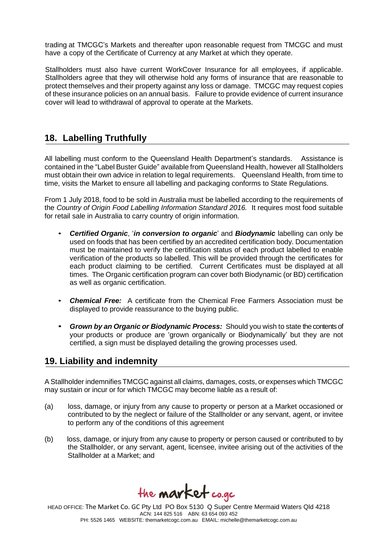trading at TMCGC's Markets and thereafter upon reasonable request from TMCGC and must have a copy of the Certificate of Currency at any Market at which they operate.

Stallholders must also have current WorkCover Insurance for all employees, if applicable. Stallholders agree that they will otherwise hold any forms of insurance that are reasonable to protect themselves and their property against any loss or damage. TMCGC may request copies of these insurance policies on an annual basis. Failure to provide evidence of current insurance cover will lead to withdrawal of approval to operate at the Markets.

# **18. Labelling Truthfully**

All labelling must conform to the Queensland Health Department's standards. Assistance is contained in the "Label Buster Guide" available from Queensland Health, however all Stallholders must obtain their own advice in relation to legal requirements. Queensland Health, from time to time, visits the Market to ensure all labelling and packaging conforms to State Regulations.

From 1 July 2018, food to be sold in Australia must be labelled according to the requirements of the *Country of Origin Food Labelling Information Standard 2016.* It requires most food suitable for retail sale in Australia to carry country of origin information.

- *Certified Organic*, '*in conversion to organic*' and *Biodynamic* labelling can only be used on foods that has been certified by an accredited certification body. Documentation must be maintained to verify the certification status of each product labelled to enable verification of the products so labelled. This will be provided through the certificates for each product claiming to be certified. Current Certificates must be displayed at all times. The Organic certification program can cover both Biodynamic (or BD) certification as well as organic certification.
- *Chemical Free:* A certificate from the Chemical Free Farmers Association must be displayed to provide reassurance to the buying public.
- *Grown by an Organic or Biodynamic Process:* Should you wish to state the contents of your products or produce are 'grown organically or Biodynamically' but they are not certified, a sign must be displayed detailing the growing processes used.

#### **19. Liability and indemnity**

A Stallholder indemnifies TMCGC against all claims, damages, costs, or expenses which TMCGC may sustain or incur or for which TMCGC may become liable as a result of:

- (a) loss, damage, or injury from any cause to property or person at a Market occasioned or contributed to by the neglect or failure of the Stallholder or any servant, agent, or invitee to perform any of the conditions of this agreement
- (b) loss, damage, or injury from any cause to property or person caused or contributed to by the Stallholder, or any servant, agent, licensee, invitee arising out of the activities of the Stallholder at a Market; and

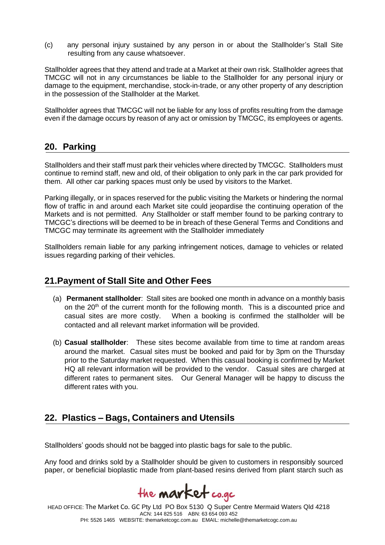(c) any personal injury sustained by any person in or about the Stallholder's Stall Site resulting from any cause whatsoever.

Stallholder agrees that they attend and trade at a Market at their own risk. Stallholder agrees that TMCGC will not in any circumstances be liable to the Stallholder for any personal injury or damage to the equipment, merchandise, stock-in-trade, or any other property of any description in the possession of the Stallholder at the Market.

Stallholder agrees that TMCGC will not be liable for any loss of profits resulting from the damage even if the damage occurs by reason of any act or omission by TMCGC, its employees or agents.

#### **20. Parking**

Stallholders and their staff must park their vehicles where directed by TMCGC. Stallholders must continue to remind staff, new and old, of their obligation to only park in the car park provided for them. All other car parking spaces must only be used by visitors to the Market.

Parking illegally, or in spaces reserved for the public visiting the Markets or hindering the normal flow of traffic in and around each Market site could jeopardise the continuing operation of the Markets and is not permitted. Any Stallholder or staff member found to be parking contrary to TMCGC's directions will be deemed to be in breach of these General Terms and Conditions and TMCGC may terminate its agreement with the Stallholder immediately

Stallholders remain liable for any parking infringement notices, damage to vehicles or related issues regarding parking of their vehicles.

#### **21.Payment of Stall Site and Other Fees**

- (a) **Permanent stallholder**: Stall sites are booked one month in advance on a monthly basis on the  $20<sup>th</sup>$  of the current month for the following month. This is a discounted price and casual sites are more costly. When a booking is confirmed the stallholder will be contacted and all relevant market information will be provided.
- (b) **Casual stallholder**: These sites become available from time to time at random areas around the market. Casual sites must be booked and paid for by 3pm on the Thursday prior to the Saturday market requested. When this casual booking is confirmed by Market HQ all relevant information will be provided to the vendor. Casual sites are charged at different rates to permanent sites. Our General Manager will be happy to discuss the different rates with you.

#### **22. Plastics – Bags, Containers and Utensils**

Stallholders' goods should not be bagged into plastic bags for sale to the public.

Any food and drinks sold by a Stallholder should be given to customers in responsibly sourced paper, or beneficial bioplastic made from plant-based resins derived from plant starch such as

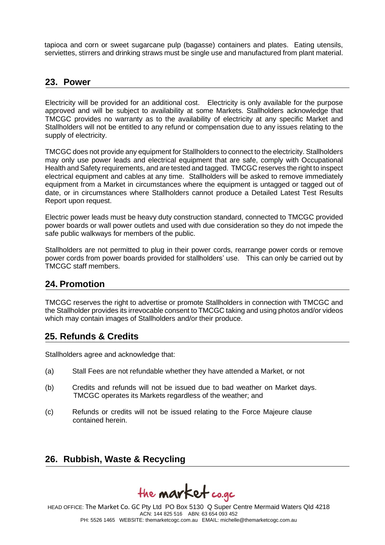tapioca and corn or sweet sugarcane pulp (bagasse) containers and plates. Eating utensils, serviettes, stirrers and drinking straws must be single use and manufactured from plant material.

#### **23. Power**

Electricity will be provided for an additional cost. Electricity is only available for the purpose approved and will be subject to availability at some Markets. Stallholders acknowledge that TMCGC provides no warranty as to the availability of electricity at any specific Market and Stallholders will not be entitled to any refund or compensation due to any issues relating to the supply of electricity.

TMCGC does not provide any equipment for Stallholders to connect to the electricity. Stallholders may only use power leads and electrical equipment that are safe, comply with Occupational Health and Safety requirements, and are tested and tagged. TMCGC reserves the right to inspect electrical equipment and cables at any time. Stallholders will be asked to remove immediately equipment from a Market in circumstances where the equipment is untagged or tagged out of date, or in circumstances where Stallholders cannot produce a Detailed Latest Test Results Report upon request.

Electric power leads must be heavy duty construction standard, connected to TMCGC provided power boards or wall power outlets and used with due consideration so they do not impede the safe public walkways for members of the public.

Stallholders are not permitted to plug in their power cords, rearrange power cords or remove power cords from power boards provided for stallholders' use. This can only be carried out by TMCGC staff members.

#### **24. Promotion**

TMCGC reserves the right to advertise or promote Stallholders in connection with TMCGC and the Stallholder provides its irrevocable consent to TMCGC taking and using photos and/or videos which may contain images of Stallholders and/or their produce.

#### **25. Refunds & Credits**

Stallholders agree and acknowledge that:

- (a) Stall Fees are not refundable whether they have attended a Market, or not
- (b) Credits and refunds will not be issued due to bad weather on Market days. TMCGC operates its Markets regardless of the weather; and
- (c) Refunds or credits will not be issued relating to the Force Majeure clause contained herein.

#### **26. Rubbish, Waste & Recycling**

the **market** co.gc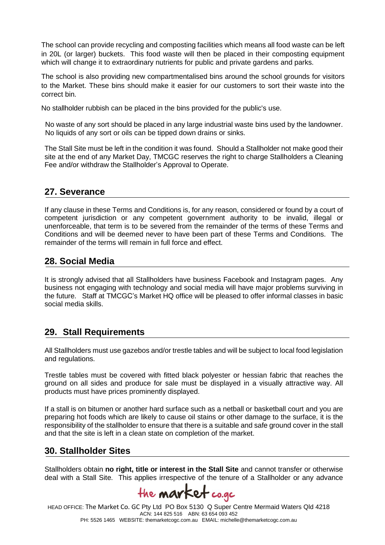The school can provide recycling and composting facilities which means all food waste can be left in 20L (or larger) buckets. This food waste will then be placed in their composting equipment which will change it to extraordinary nutrients for public and private gardens and parks.

The school is also providing new compartmentalised bins around the school grounds for visitors to the Market. These bins should make it easier for our customers to sort their waste into the correct bin.

No stallholder rubbish can be placed in the bins provided for the public's use.

No waste of any sort should be placed in any large industrial waste bins used by the landowner. No liquids of any sort or oils can be tipped down drains or sinks.

The Stall Site must be left in the condition it was found. Should a Stallholder not make good their site at the end of any Market Day, TMCGC reserves the right to charge Stallholders a Cleaning Fee and/or withdraw the Stallholder's Approval to Operate.

#### **27. Severance**

If any clause in these Terms and Conditions is, for any reason, considered or found by a court of competent jurisdiction or any competent government authority to be invalid, illegal or unenforceable, that term is to be severed from the remainder of the terms of these Terms and Conditions and will be deemed never to have been part of these Terms and Conditions. The remainder of the terms will remain in full force and effect.

#### **28. Social Media**

It is strongly advised that all Stallholders have business Facebook and Instagram pages. Any business not engaging with technology and social media will have major problems surviving in the future. Staff at TMCGC's Market HQ office will be pleased to offer informal classes in basic social media skills.

# **29. Stall Requirements**

All Stallholders must use gazebos and/or trestle tables and will be subject to local food legislation and regulations.

Trestle tables must be covered with fitted black polyester or hessian fabric that reaches the ground on all sides and produce for sale must be displayed in a visually attractive way. All products must have prices prominently displayed.

If a stall is on bitumen or another hard surface such as a netball or basketball court and you are preparing hot foods which are likely to cause oil stains or other damage to the surface, it is the responsibility of the stallholder to ensure that there is a suitable and safe ground cover in the stall and that the site is left in a clean state on completion of the market.

# **30. Stallholder Sites**

Stallholders obtain **no right, title or interest in the Stall Site** and cannot transfer or otherwise deal with a Stall Site. This applies irrespective of the tenure of a Stallholder or any advance

the **market** co.gc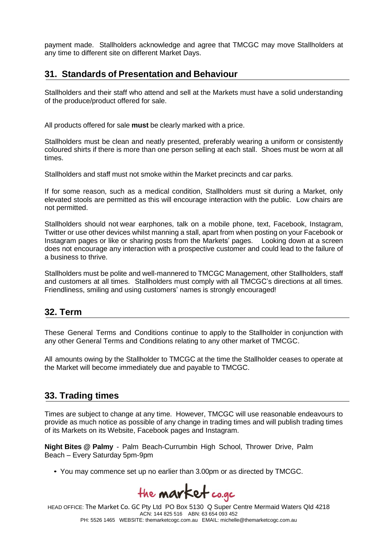payment made. Stallholders acknowledge and agree that TMCGC may move Stallholders at any time to different site on different Market Days.

# **31. Standards of Presentation and Behaviour**

Stallholders and their staff who attend and sell at the Markets must have a solid understanding of the produce/product offered for sale.

All products offered for sale **must** be clearly marked with a price.

Stallholders must be clean and neatly presented, preferably wearing a uniform or consistently coloured shirts if there is more than one person selling at each stall. Shoes must be worn at all times.

Stallholders and staff must not smoke within the Market precincts and car parks.

If for some reason, such as a medical condition, Stallholders must sit during a Market, only elevated stools are permitted as this will encourage interaction with the public. Low chairs are not permitted.

Stallholders should not wear earphones, talk on a mobile phone, text, Facebook, Instagram, Twitter or use other devices whilst manning a stall, apart from when posting on your Facebook or Instagram pages or like or sharing posts from the Markets' pages. Looking down at a screen does not encourage any interaction with a prospective customer and could lead to the failure of a business to thrive.

Stallholders must be polite and well-mannered to TMCGC Management, other Stallholders, staff and customers at all times. Stallholders must comply with all TMCGC's directions at all times. Friendliness, smiling and using customers' names is strongly encouraged!

#### **32. Term**

These General Terms and Conditions continue to apply to the Stallholder in conjunction with any other General Terms and Conditions relating to any other market of TMCGC.

All amounts owing by the Stallholder to TMCGC at the time the Stallholder ceases to operate at the Market will become immediately due and payable to TMCGC.

#### **33. Trading times**

Times are subject to change at any time. However, TMCGC will use reasonable endeavours to provide as much notice as possible of any change in trading times and will publish trading times of its Markets on its Website, Facebook pages and Instagram.

**Night Bites @ Palmy** - Palm Beach-Currumbin High School, Thrower Drive, Palm Beach – Every Saturday 5pm-9pm

• You may commence set up no earlier than 3.00pm or as directed by TMCGC.

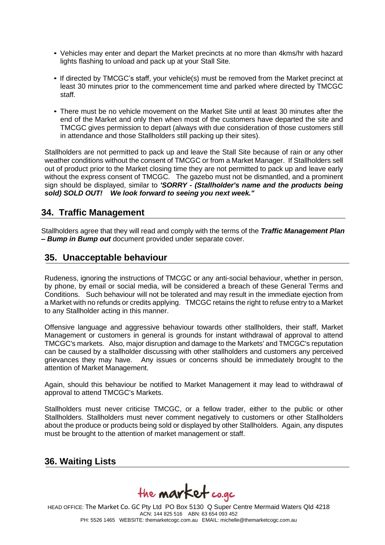- Vehicles may enter and depart the Market precincts at no more than 4kms/hr with hazard lights flashing to unload and pack up at your Stall Site.
- If directed by TMCGC's staff, your vehicle(s) must be removed from the Market precinct at least 30 minutes prior to the commencement time and parked where directed by TMCGC staff.
- There must be no vehicle movement on the Market Site until at least 30 minutes after the end of the Market and only then when most of the customers have departed the site and TMCGC gives permission to depart (always with due consideration of those customers still in attendance and those Stallholders still packing up their sites).

Stallholders are not permitted to pack up and leave the Stall Site because of rain or any other weather conditions without the consent of TMCGC or from a Market Manager. If Stallholders sell out of product prior to the Market closing time they are not permitted to pack up and leave early without the express consent of TMCGC. The gazebo must not be dismantled, and a prominent sign should be displayed, similar to *'SORRY - (Stallholder's name and the products being sold) SOLD OUT! We look forward to seeing you next week."*

#### **34. Traffic Management**

Stallholders agree that they will read and comply with the terms of the *Traffic Management Plan* **–** *Bump in Bump out* document provided under separate cover.

#### **35. Unacceptable behaviour**

Rudeness, ignoring the instructions of TMCGC or any anti-social behaviour, whether in person, by phone, by email or social media, will be considered a breach of these General Terms and Conditions. Such behaviour will not be tolerated and may result in the immediate ejection from a Market with no refunds or credits applying. TMCGC retains the right to refuse entry to a Market to any Stallholder acting in this manner.

Offensive language and aggressive behaviour towards other stallholders, their staff, Market Management or customers in general is grounds for instant withdrawal of approval to attend TMCGC's markets. Also, major disruption and damage to the Markets' and TMCGC's reputation can be caused by a stallholder discussing with other stallholders and customers any perceived grievances they may have. Any issues or concerns should be immediately brought to the attention of Market Management.

Again, should this behaviour be notified to Market Management it may lead to withdrawal of approval to attend TMCGC's Markets.

Stallholders must never criticise TMCGC, or a fellow trader, either to the public or other Stallholders. Stallholders must never comment negatively to customers or other Stallholders about the produce or products being sold or displayed by other Stallholders. Again, any disputes must be brought to the attention of market management or staff.

#### **36. Waiting Lists**

the **market** co.gc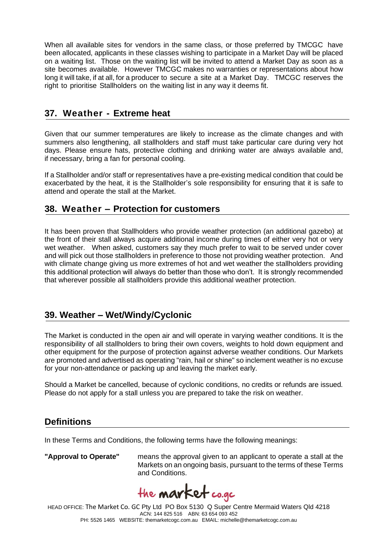When all available sites for vendors in the same class, or those preferred by TMCGC have been allocated, applicants in these classes wishing to participate in a Market Day will be placed on a waiting list. Those on the waiting list will be invited to attend a Market Day as soon as a site becomes available. However TMCGC makes no warranties or representations about how long it will take, if at all, for a producer to secure a site at a Market Day. TMCGC reserves the right to prioritise Stallholders on the waiting list in any way it deems fit.

# **37. Weather - Extreme heat**

Given that our summer temperatures are likely to increase as the climate changes and with summers also lengthening, all stallholders and staff must take particular care during very hot days. Please ensure hats, protective clothing and drinking water are always available and, if necessary, bring a fan for personal cooling.

If a Stallholder and/or staff or representatives have a pre-existing medical condition that could be exacerbated by the heat, it is the Stallholder's sole responsibility for ensuring that it is safe to attend and operate the stall at the Market.

# **38. Weather – Protection for customers**

It has been proven that Stallholders who provide weather protection (an additional gazebo) at the front of their stall always acquire additional income during times of either very hot or very wet weather. When asked, customers say they much prefer to wait to be served under cover and will pick out those stallholders in preference to those not providing weather protection. And with climate change giving us more extremes of hot and wet weather the stallholders providing this additional protection will always do better than those who don't. It is strongly recommended that wherever possible all stallholders provide this additional weather protection.

# **39. Weather – Wet/Windy/Cyclonic**

The Market is conducted in the open air and will operate in varying weather conditions. It is the responsibility of all stallholders to bring their own covers, weights to hold down equipment and other equipment for the purpose of protection against adverse weather conditions. Our Markets are promoted and advertised as operating "rain, hail or shine" so inclement weather is no excuse for your non-attendance or packing up and leaving the market early.

Should a Market be cancelled, because of cyclonic conditions, no credits or refunds are issued. Please do not apply for a stall unless you are prepared to take the risk on weather.

# **Definitions**

In these Terms and Conditions, the following terms have the following meanings:

**"Approval to Operate"** means the approval given to an applicant to operate a stall at the Markets on an ongoing basis, pursuant to the terms of these Terms and Conditions.

the **market** co.gc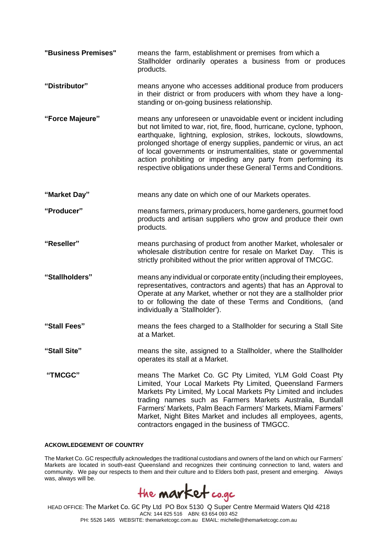| "Business Premises" | means the farm, establishment or premises from which a<br>Stallholder ordinarily operates a business from or produces<br>products.                                                                                                                                                                                                                                                                                                                                                        |
|---------------------|-------------------------------------------------------------------------------------------------------------------------------------------------------------------------------------------------------------------------------------------------------------------------------------------------------------------------------------------------------------------------------------------------------------------------------------------------------------------------------------------|
| "Distributor"       | means anyone who accesses additional produce from producers<br>in their district or from producers with whom they have a long-<br>standing or on-going business relationship.                                                                                                                                                                                                                                                                                                             |
| "Force Majeure"     | means any unforeseen or unavoidable event or incident including<br>but not limited to war, riot, fire, flood, hurricane, cyclone, typhoon,<br>earthquake, lightning, explosion, strikes, lockouts, slowdowns,<br>prolonged shortage of energy supplies, pandemic or virus, an act<br>of local governments or instrumentalities, state or governmental<br>action prohibiting or impeding any party from performing its<br>respective obligations under these General Terms and Conditions. |
| "Market Day"        | means any date on which one of our Markets operates.                                                                                                                                                                                                                                                                                                                                                                                                                                      |
| "Producer"          | means farmers, primary producers, home gardeners, gourmet food<br>products and artisan suppliers who grow and produce their own<br>products.                                                                                                                                                                                                                                                                                                                                              |
| "Reseller"          | means purchasing of product from another Market, wholesaler or<br>wholesale distribution centre for resale on Market Day. This is<br>strictly prohibited without the prior written approval of TMCGC.                                                                                                                                                                                                                                                                                     |
| "Stallholders"      | means any individual or corporate entity (including their employees,<br>representatives, contractors and agents) that has an Approval to<br>Operate at any Market, whether or not they are a stallholder prior<br>to or following the date of these Terms and Conditions, (and<br>individually a 'Stallholder').                                                                                                                                                                          |
| "Stall Fees"        | means the fees charged to a Stallholder for securing a Stall Site<br>at a Market.                                                                                                                                                                                                                                                                                                                                                                                                         |
| "Stall Site"        | means the site, assigned to a Stallholder, where the Stallholder<br>operates its stall at a Market.                                                                                                                                                                                                                                                                                                                                                                                       |
| "TMCGC"             | means The Market Co. GC Pty Limited, YLM Gold Coast Pty<br>Limited, Your Local Markets Pty Limited, Queensland Farmers<br>Markets Pty Limited, My Local Markets Pty Limited and includes<br>trading names such as Farmers Markets Australia, Bundall<br>Farmers' Markets, Palm Beach Farmers' Markets, Miami Farmers'<br>Market, Night Bites Market and includes all employees, agents,<br>contractors engaged in the business of TMGCC.                                                  |

#### **ACKOWLEDGEMENT OF COUNTRY**

The Market Co. GC respectfully acknowledges the traditional custodians and owners of the land on which our Farmers' Markets are located in south-east Queensland and recognizes their continuing connection to land, waters and community. We pay our respects to them and their culture and to Elders both past, present and emerging. Always was, always will be.

the **market** co.gc